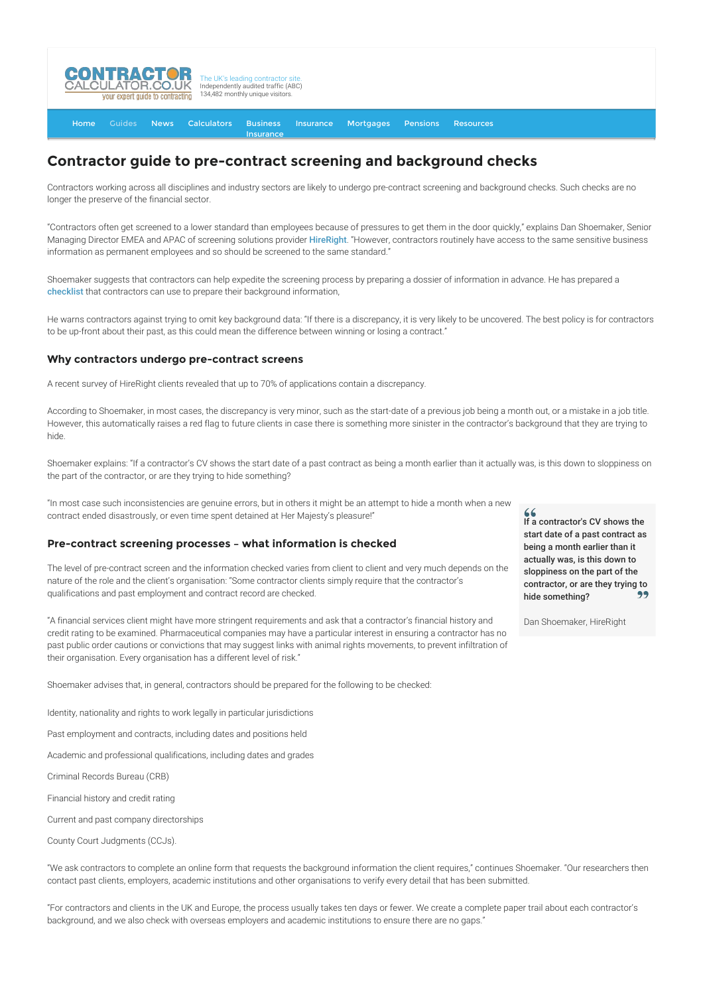

#### [Home](http://www.contractorcalculator.co.uk/) [Guides](http://www.contractorcalculator.co.uk/Articles.aspx) [News](http://www.contractorcalculator.co.uk/Contractor_News.aspx) [Calculators](http://www.contractorcalculator.co.uk/Calculators.aspx) Business **[Insurance](http://www.contractorcalculator.co.uk/Contractor_Insurances.aspx)** [Insurance](http://www.contractorcalculator.co.uk/Insurance.aspx) [Mortgages](http://www.contractorcalculator.co.uk/Contractor_Mortgages.aspx) [Pensions](http://www.contractorcalculator.co.uk/Contractor_Pensions.aspx) [Resources](http://www.contractorcalculator.co.uk/Contractor_Resources.aspx)

# **Contractor guide to pre-contract screening and background checks**

Contractors working across all disciplines and industry sectors are likely to undergo pre-contract screening and background checks. Such checks are no longer the preserve of the financial sector.

"Contractors often get screened to a lower standard than employees because of pressures to get them in the door quickly," explains Dan Shoemaker, Senior Managing Director EMEA and APAC of screening solutions provider [HireRight](http://www.hireright.co.uk/). "However, contractors routinely have access to the same sensitive business information as permanent employees and so should be screened to the same standard."

Shoemaker suggests that contractors can help expedite the screening process by preparing a dossier of information in advance. He has prepared a [checklist](http://www.contractorcalculator.co.uk/docs/ContractorScreeningChecklist.pdf) that contractors can use to prepare their background information,

He warns contractors against trying to omit key background data: "If there is a discrepancy, it is very likely to be uncovered. The best policy is for contractors to be up-front about their past, as this could mean the difference between winning or losing a contract."

#### **Why contractors undergo pre-contract screens**

A recent survey of HireRight clients revealed that up to 70% of applications contain a discrepancy.

According to Shoemaker, in most cases, the discrepancy is very minor, such as the start-date of a previous job being a month out, or a mistake in a job title. However, this automatically raises a red flag to future clients in case there is something more sinister in the contractor's background that they are trying to hide.

Shoemaker explains: "If a contractor's CV shows the start date of a past contract as being a month earlier than it actually was, is this down to sloppiness on the part of the contractor, or are they trying to hide something?

"In most case such inconsistencies are genuine errors, but in others it might be an attempt to hide a month when a new contract ended disastrously, or even time spent detained at Her Majesty's pleasure!"

### **Pre-contract screening processes – what information is checked**

The level of pre-contract screen and the information checked varies from client to client and very much depends on the nature of the role and the client's organisation: "Some contractor clients simply require that the contractor's qualifications and past employment and contract record are checked.

"A financial services client might have more stringent requirements and ask that a contractor's financial history and credit rating to be examined. Pharmaceutical companies may have a particular interest in ensuring a contractor has no past public order cautions or convictions that may suggest links with animal rights movements, to prevent infiltration of their organisation. Every organisation has a different level of risk."

Shoemaker advises that, in general, contractors should be prepared for the following to be checked:

Identity, nationality and rights to work legally in particular jurisdictions

Past employment and contracts, including dates and positions held

Academic and professional qualifications, including dates and grades

Criminal Records Bureau (CRB)

Financial history and credit rating

Current and past company directorships

County Court Judgments (CCJs).

"We ask contractors to complete an online form that requests the background information the client requires," continues Shoemaker. "Our researchers then contact past clients, employers, academic institutions and other organisations to verify every detail that has been submitted.

"For contractors and clients in the UK and Europe, the process usually takes ten days or fewer. We create a complete paper trail about each contractor's background, and we also check with overseas employers and academic institutions to ensure there are no gaps."

 $66$ If a contractor's CV shows the start date of a past contract as being a month earlier than it actually was, is this down to sloppiness on the part of the contractor, or are they trying to CO. hide something?

Dan Shoemaker, HireRight